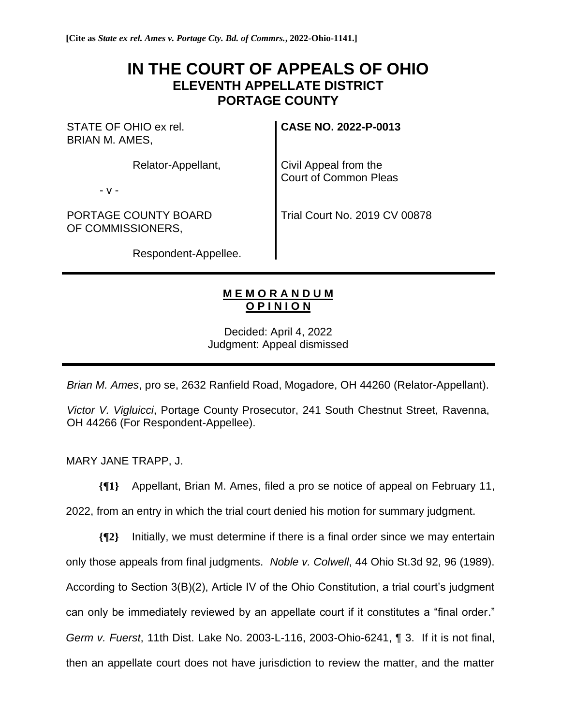## **IN THE COURT OF APPEALS OF OHIO ELEVENTH APPELLATE DISTRICT PORTAGE COUNTY**

STATE OF OHIO ex rel. BRIAN M. AMES,

Relator-Appellant,

- v -

PORTAGE COUNTY BOARD OF COMMISSIONERS,

**CASE NO. 2022-P-0013**

Civil Appeal from the Court of Common Pleas

Trial Court No. 2019 CV 00878

Respondent-Appellee.

## **M E M O R A N D U M O P I N I O N**

Decided: April 4, 2022 Judgment: Appeal dismissed

*Brian M. Ames*, pro se, 2632 Ranfield Road, Mogadore, OH 44260 (Relator-Appellant).

*Victor V. Vigluicci*, Portage County Prosecutor, 241 South Chestnut Street, Ravenna, OH 44266 (For Respondent-Appellee).

MARY JANE TRAPP, J.

**{¶1}** Appellant, Brian M. Ames, filed a pro se notice of appeal on February 11,

2022, from an entry in which the trial court denied his motion for summary judgment.

**{¶2}** Initially, we must determine if there is a final order since we may entertain only those appeals from final judgments. *Noble v. Colwell*, 44 Ohio St.3d 92, 96 (1989). According to Section 3(B)(2), Article IV of the Ohio Constitution, a trial court's judgment can only be immediately reviewed by an appellate court if it constitutes a "final order." *Germ v. Fuerst*, 11th Dist. Lake No. 2003-L-116, 2003-Ohio-6241, ¶ 3. If it is not final, then an appellate court does not have jurisdiction to review the matter, and the matter